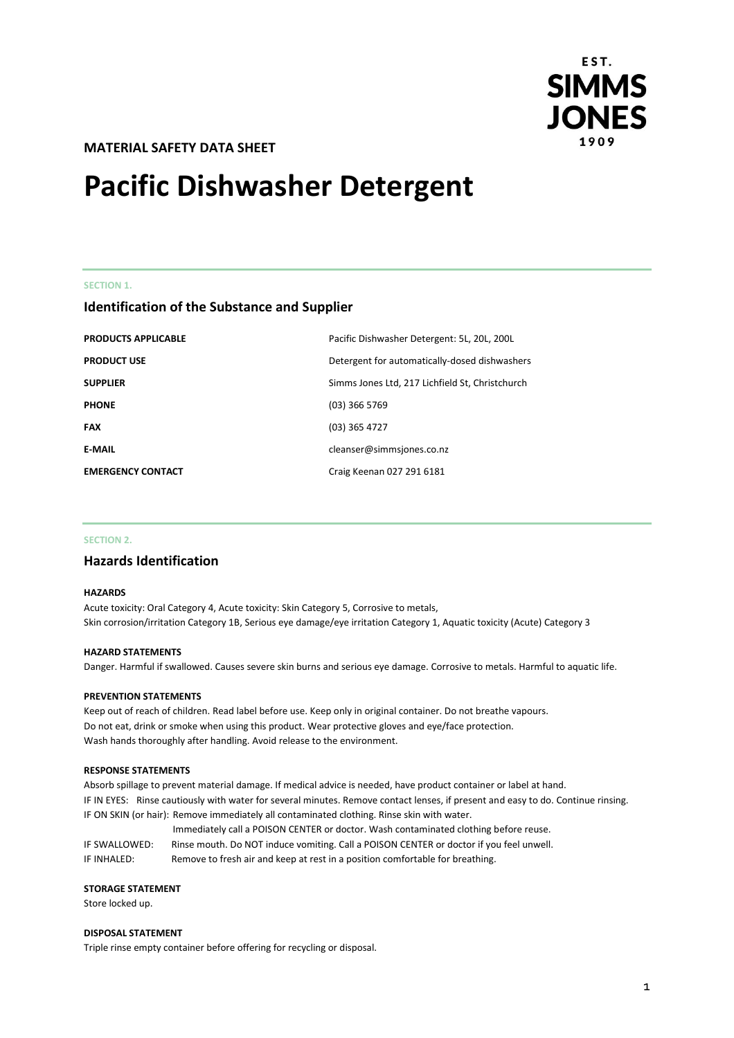

# **MATERIAL SAFETY DATA SHEET**

# **Pacific Dishwasher Detergent**

#### **SECTION 1.**

# **Identification of the Substance and Supplier**

| <b>PRODUCTS APPLICABLE</b> | Pacific Dishwasher Detergent: 5L, 20L, 200L     |
|----------------------------|-------------------------------------------------|
| <b>PRODUCT USE</b>         | Detergent for automatically-dosed dishwashers   |
| <b>SUPPLIER</b>            | Simms Jones Ltd, 217 Lichfield St, Christchurch |
| <b>PHONE</b>               | $(03)$ 366 5769                                 |
| <b>FAX</b>                 | $(03)$ 365 4727                                 |
| <b>E-MAIL</b>              | cleanser@simmsjones.co.nz                       |
| <b>EMERGENCY CONTACT</b>   | Craig Keenan 027 291 6181                       |

## **SECTION 2.**

# **Hazards Identification**

#### **HAZARDS**

Acute toxicity: Oral Category 4, Acute toxicity: Skin Category 5, Corrosive to metals, Skin corrosion/irritation Category 1B, Serious eye damage/eye irritation Category 1, Aquatic toxicity (Acute) Category 3

#### **HAZARD STATEMENTS**

Danger. Harmful if swallowed. Causes severe skin burns and serious eye damage. Corrosive to metals. Harmful to aquatic life.

## **PREVENTION STATEMENTS**

Keep out of reach of children. Read label before use. Keep only in original container. Do not breathe vapours. Do not eat, drink or smoke when using this product. Wear protective gloves and eye/face protection. Wash hands thoroughly after handling. Avoid release to the environment.

#### **RESPONSE STATEMENTS**

Absorb spillage to prevent material damage. If medical advice is needed, have product container or label at hand. IF IN EYES: Rinse cautiously with water for several minutes. Remove contact lenses, if present and easy to do. Continue rinsing. IF ON SKIN (or hair): Remove immediately all contaminated clothing. Rinse skin with water.

Immediately call a POISON CENTER or doctor. Wash contaminated clothing before reuse. IF SWALLOWED: Rinse mouth. Do NOT induce vomiting. Call a POISON CENTER or doctor if you feel unwell. IF INHALED: Remove to fresh air and keep at rest in a position comfortable for breathing.

#### **STORAGE STATEMENT**

Store locked up.

#### **DISPOSAL STATEMENT**

Triple rinse empty container before offering for recycling or disposal.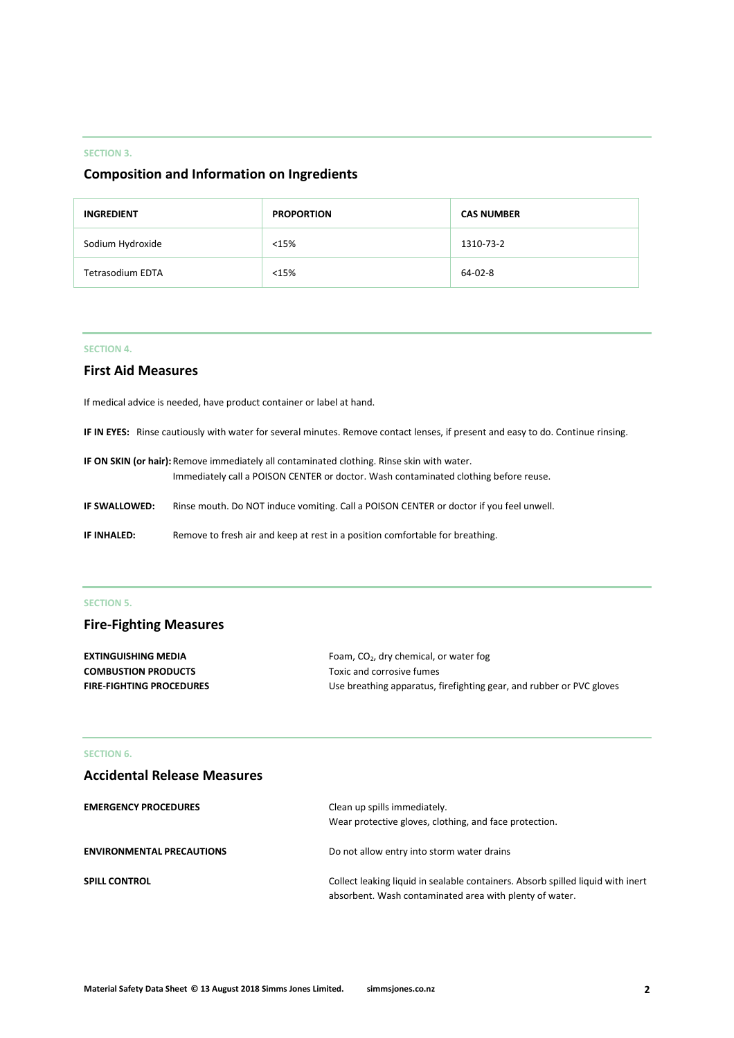## **SECTION 3.**

# **Composition and Information on Ingredients**

| <b>INGREDIENT</b> | <b>PROPORTION</b> | <b>CAS NUMBER</b> |
|-------------------|-------------------|-------------------|
| Sodium Hydroxide  | <15%              | 1310-73-2         |
| Tetrasodium EDTA  | <15%              | 64-02-8           |

## **SECTION 4.**

# **First Aid Measures**

If medical advice is needed, have product container or label at hand.

**IF IN EYES:** Rinse cautiously with water for several minutes. Remove contact lenses, if present and easy to do. Continue rinsing.

| IF ON SKIN (or hair): Remove immediately all contaminated clothing. Rinse skin with water. |                                                                                         |  |
|--------------------------------------------------------------------------------------------|-----------------------------------------------------------------------------------------|--|
|                                                                                            | Immediately call a POISON CENTER or doctor. Wash contaminated clothing before reuse.    |  |
| IF SWALLOWED:                                                                              | Rinse mouth. Do NOT induce vomiting. Call a POISON CENTER or doctor if you feel unwell. |  |
| IF INHALED:                                                                                | Remove to fresh air and keep at rest in a position comfortable for breathing.           |  |

# **SECTION 5.**

# **Fire-Fighting Measures**

| <b>EXTINGUISHING MEDIA</b>      | Foam, $CO2$ , dry chemical, or water fog                             |
|---------------------------------|----------------------------------------------------------------------|
| <b>COMBUSTION PRODUCTS</b>      | Toxic and corrosive fumes                                            |
| <b>FIRE-FIGHTING PROCEDURES</b> | Use breathing apparatus, firefighting gear, and rubber or PVC gloves |

# **SECTION 6.**

| <b>Accidental Release Measures</b> |                                                                                                                                            |
|------------------------------------|--------------------------------------------------------------------------------------------------------------------------------------------|
| <b>EMERGENCY PROCEDURES</b>        | Clean up spills immediately.<br>Wear protective gloves, clothing, and face protection.                                                     |
| <b>ENVIRONMENTAL PRECAUTIONS</b>   | Do not allow entry into storm water drains                                                                                                 |
| <b>SPILL CONTROL</b>               | Collect leaking liquid in sealable containers. Absorb spilled liquid with inert<br>absorbent. Wash contaminated area with plenty of water. |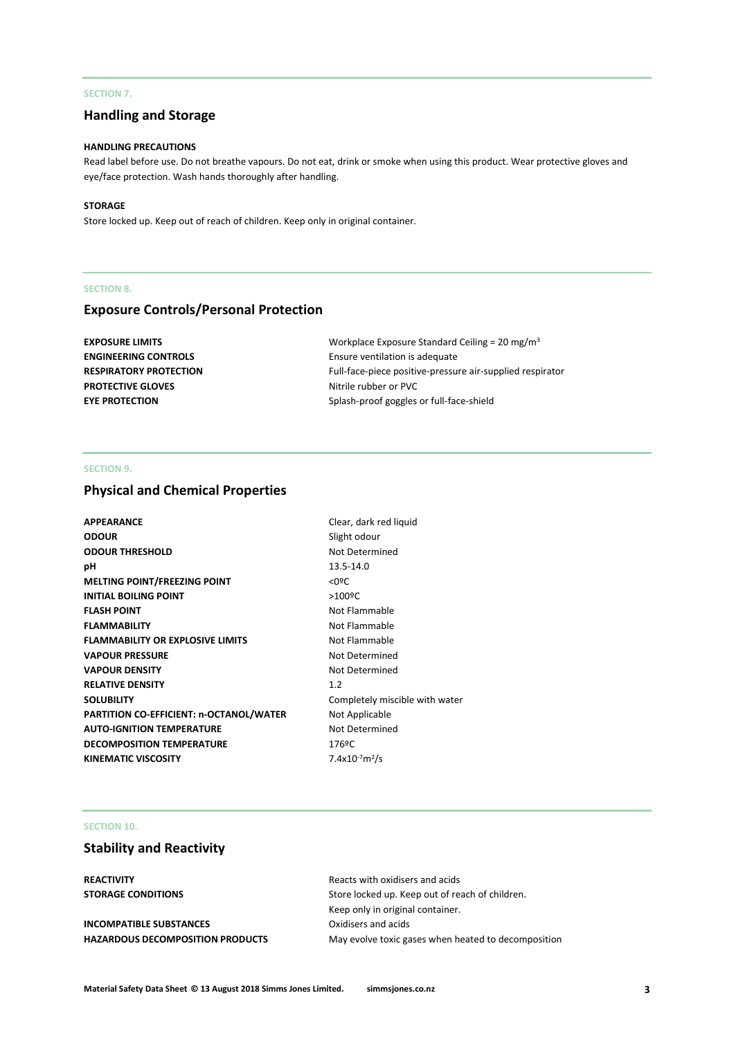## **SECTION 7.**

# **Handling and Storage**

#### **HANDLING PRECAUTIONS**

Read label before use. Do not breathe vapours. Do not eat, drink or smoke when using this product. Wear protective gloves and eye/face protection. Wash hands thoroughly after handling.

#### **STORAGE**

Store locked up. Keep out of reach of children. Keep only in original container.

#### **SECTION 8.**

# **Exposure Controls/Personal Protection**

| <b>EXPOSURE LIMITS</b>        | Workplace Exposure Standard Ceiling = 20 mg/m <sup>3</sup> |
|-------------------------------|------------------------------------------------------------|
| <b>ENGINEERING CONTROLS</b>   | Ensure ventilation is adequate                             |
| <b>RESPIRATORY PROTECTION</b> | Full-face-piece positive-pressure air-supplied respirator  |
| <b>PROTECTIVE GLOVES</b>      | Nitrile rubber or PVC                                      |
| <b>EYE PROTECTION</b>         | Splash-proof goggles or full-face-shield                   |
|                               |                                                            |

# **SECTION 9.**

# **Physical and Chemical Properties**

| <b>APPEARANCE</b>                       | Clear, dark red liquid         |
|-----------------------------------------|--------------------------------|
| <b>ODOUR</b>                            | Slight odour                   |
| <b>ODOUR THRESHOLD</b>                  | Not Determined                 |
| рH                                      | 13.5-14.0                      |
| <b>MELTING POINT/FREEZING POINT</b>     | $<$ 0ºC                        |
| <b>INITIAL BOILING POINT</b>            | $>100$ <sup>o</sup> C          |
| <b>FLASH POINT</b>                      | Not Flammable                  |
| <b>FLAMMABILITY</b>                     | Not Flammable                  |
| <b>FLAMMABILITY OR EXPLOSIVE LIMITS</b> | Not Flammable                  |
| <b>VAPOUR PRESSURE</b>                  | Not Determined                 |
| <b>VAPOUR DENSITY</b>                   | Not Determined                 |
| <b>RELATIVE DENSITY</b>                 | 1.2                            |
| <b>SOLUBILITY</b>                       | Completely miscible with water |
| PARTITION CO-EFFICIENT: n-OCTANOL/WATER | Not Applicable                 |
| <b>AUTO-IGNITION TEMPERATURE</b>        | Not Determined                 |
| <b>DECOMPOSITION TEMPERATURE</b>        | 176ºC                          |
| <b>KINEMATIC VISCOSITY</b>              | $7.4x10^{-7}m^2/s$             |
|                                         |                                |

#### **SECTION 10.**

# **Stability and Reactivity**

**INCOMPATIBLE SUBSTANCES** Oxidisers and acids

**REACTIVITY** Reacts with oxidisers and acids **STORAGE CONDITIONS** Store locked up. Keep out of reach of children. Keep only in original container. HAZARDOUS DECOMPOSITION PRODUCTS May evolve toxic gases when heated to decomposition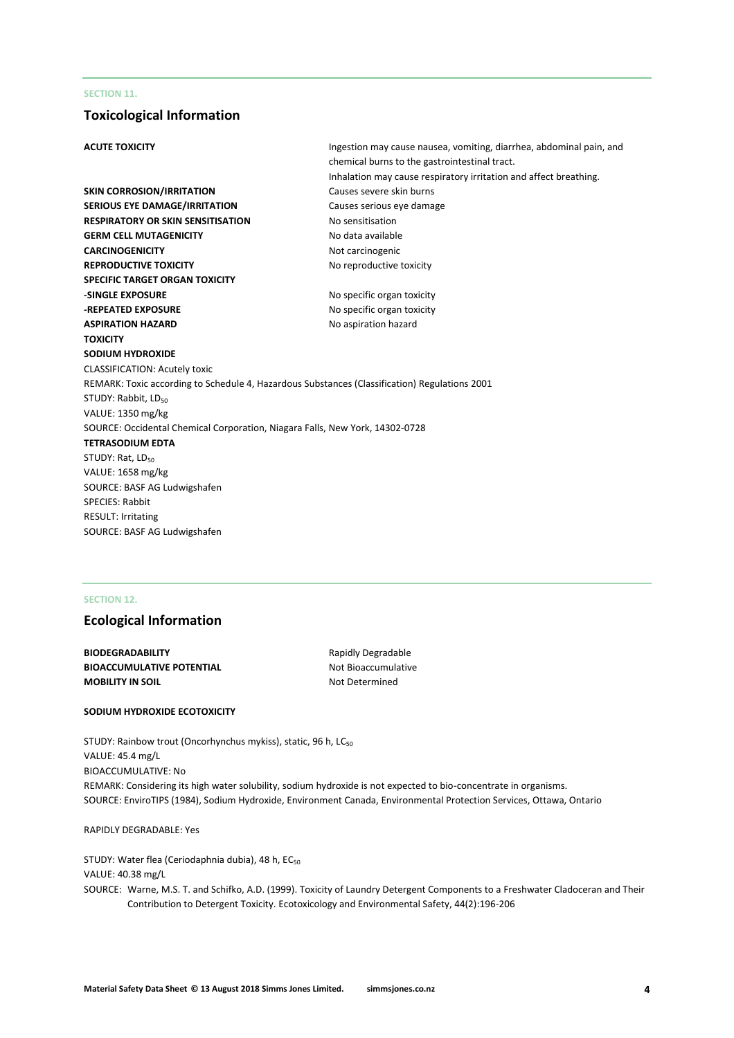## **SECTION 11.**

# **Toxicological Information**

| <b>ACUTE TOXICITY</b>                                                                         | Ingestion may cause nausea, vomiting, diarrhea, abdominal pain, and |
|-----------------------------------------------------------------------------------------------|---------------------------------------------------------------------|
|                                                                                               | chemical burns to the gastrointestinal tract.                       |
|                                                                                               | Inhalation may cause respiratory irritation and affect breathing.   |
| <b>SKIN CORROSION/IRRITATION</b>                                                              | Causes severe skin burns                                            |
| <b>SERIOUS EYE DAMAGE/IRRITATION</b>                                                          | Causes serious eye damage                                           |
| <b>RESPIRATORY OR SKIN SENSITISATION</b>                                                      | No sensitisation                                                    |
| <b>GERM CELL MUTAGENICITY</b>                                                                 | No data available                                                   |
| <b>CARCINOGENICITY</b>                                                                        | Not carcinogenic                                                    |
| <b>REPRODUCTIVE TOXICITY</b>                                                                  | No reproductive toxicity                                            |
| <b>SPECIFIC TARGET ORGAN TOXICITY</b>                                                         |                                                                     |
| -SINGLE EXPOSURE                                                                              | No specific organ toxicity                                          |
| -REPEATED EXPOSURE                                                                            | No specific organ toxicity                                          |
| <b>ASPIRATION HAZARD</b>                                                                      | No aspiration hazard                                                |
| <b>TOXICITY</b>                                                                               |                                                                     |
| SODIUM HYDROXIDE                                                                              |                                                                     |
| <b>CLASSIFICATION: Acutely toxic</b>                                                          |                                                                     |
| REMARK: Toxic according to Schedule 4, Hazardous Substances (Classification) Regulations 2001 |                                                                     |
| STUDY: Rabbit, LD <sub>50</sub>                                                               |                                                                     |
| VALUE: 1350 mg/kg                                                                             |                                                                     |
| SOURCE: Occidental Chemical Corporation, Niagara Falls, New York, 14302-0728                  |                                                                     |
| <b>TETRASODIUM EDTA</b>                                                                       |                                                                     |
| STUDY: Rat, LD <sub>50</sub>                                                                  |                                                                     |
| VALUE: 1658 mg/kg                                                                             |                                                                     |
| SOURCE: BASF AG Ludwigshafen                                                                  |                                                                     |
| <b>SPECIES: Rabbit</b>                                                                        |                                                                     |
| <b>RESULT: Irritating</b>                                                                     |                                                                     |
| SOURCE: BASF AG Ludwigshafen                                                                  |                                                                     |
|                                                                                               |                                                                     |

# **SECTION 12.**

# **Ecological Information**

**BIODEGRADABILITY** Rapidly Degradable **BIOACCUMULATIVE POTENTIAL** Not Bioaccumulative **MOBILITY IN SOIL** MOBILITY IN SOIL

#### **SODIUM HYDROXIDE ECOTOXICITY**

STUDY: Rainbow trout (Oncorhynchus mykiss), static, 96 h, LC<sub>50</sub> VALUE: 45.4 mg/L BIOACCUMULATIVE: No REMARK: Considering its high water solubility, sodium hydroxide is not expected to bio-concentrate in organisms. SOURCE: EnviroTIPS (1984), Sodium Hydroxide, Environment Canada, Environmental Protection Services, Ottawa, Ontario

RAPIDLY DEGRADABLE: Yes

STUDY: Water flea (Ceriodaphnia dubia), 48 h, EC<sub>50</sub> VALUE: 40.38 mg/L SOURCE: Warne, M.S. T. and Schifko, A.D. (1999). Toxicity of Laundry Detergent Components to a Freshwater Cladoceran and Their Contribution to Detergent Toxicity. Ecotoxicology and Environmental Safety, 44(2):196-206